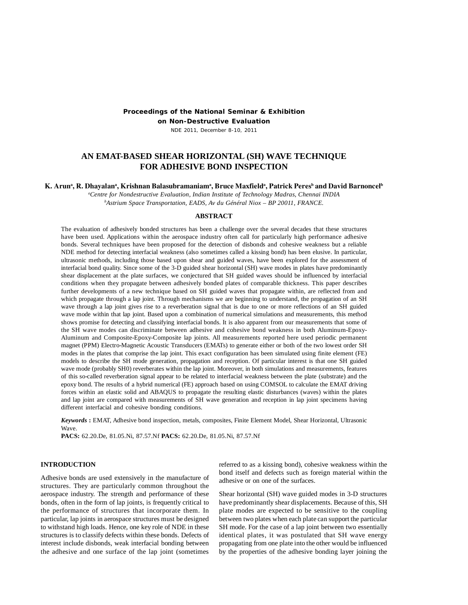## **Proceedings of the National Seminar & Exhibition**

**on Non-Destructive Evaluation**

NDE 2011, December 8-10, 2011

# **AN EMAT-BASED SHEAR HORIZONTAL (SH) WAVE TECHNIQUE FOR ADHESIVE BOND INSPECTION**

 $\bf{K.}$  Arunª,  $\bf{R.}$  Dhayalanª, Krishnan Balasubramaniamª, Bruce Maxfieldª, Patrick Peresʰ and David Barnoncelʰ

*a Centre for Nondestructive Evaluation, Indian Institute of Technology Madras, Chennai INDIA b Astrium Space Transportation, EADS, Av du Général Niox – BP 20011, FRANCE.*

#### **ABSTRACT**

The evaluation of adhesively bonded structures has been a challenge over the several decades that these structures have been used. Applications within the aerospace industry often call for particularly high performance adhesive bonds. Several techniques have been proposed for the detection of disbonds and cohesive weakness but a reliable NDE method for detecting interfacial weakness (also sometimes called a kissing bond) has been elusive. In particular, ultrasonic methods, including those based upon shear and guided waves, have been explored for the assessment of interfacial bond quality. Since some of the 3-D guided shear horizontal (SH) wave modes in plates have predominantly shear displacement at the plate surfaces, we conjectured that SH guided waves should be influenced by interfacial conditions when they propagate between adhesively bonded plates of comparable thickness. This paper describes further developments of a new technique based on SH guided waves that propagate within, are reflected from and which propagate through a lap joint. Through mechanisms we are beginning to understand, the propagation of an SH wave through a lap joint gives rise to a reverberation signal that is due to one or more reflections of an SH guided wave mode within that lap joint. Based upon a combination of numerical simulations and measurements, this method shows promise for detecting and classifying interfacial bonds. It is also apparent from our measurements that some of the SH wave modes can discriminate between adhesive and cohesive bond weakness in both Aluminum-Epoxy-Aluminum and Composite-Epoxy-Composite lap joints. All measurements reported here used periodic permanent magnet (PPM) Electro-Magnetic Acoustic Transducers (EMATs) to generate either or both of the two lowest order SH modes in the plates that comprise the lap joint. This exact configuration has been simulated using finite element (FE) models to describe the SH mode generation, propagation and reception. Of particular interest is that one SH guided wave mode (probably SH0) reverberates within the lap joint. Moreover, in both simulations and measurements, features of this so-called reverberation signal appear to be related to interfacial weakness between the plate (substrate) and the epoxy bond. The results of a hybrid numerical (FE) approach based on using COMSOL to calculate the EMAT driving forces within an elastic solid and ABAQUS to propagate the resulting elastic disturbances (waves) within the plates and lap joint are compared with measurements of SH wave generation and reception in lap joint specimens having different interfacial and cohesive bonding conditions.

*Keywords* **:** EMAT, Adhesive bond inspection, metals, composites, Finite Element Model, Shear Horizontal, Ultrasonic Wave.

**PACS:** 62.20.De, 81.05.Ni, 87.57.Nf **PACS:** 62.20.De, 81.05.Ni, 87.57.Nf

## **INTRODUCTION**

Adhesive bonds are used extensively in the manufacture of structures. They are particularly common throughout the aerospace industry. The strength and performance of these bonds, often in the form of lap joints, is frequently critical to the performance of structures that incorporate them. In particular, lap joints in aerospace structures must be designed to withstand high loads. Hence, one key role of NDE in these structures is to classify defects within these bonds. Defects of interest include disbonds, weak interfacial bonding between the adhesive and one surface of the lap joint (sometimes

referred to as a kissing bond), cohesive weakness within the bond itself and defects such as foreign material within the adhesive or on one of the surfaces.

Shear horizontal (SH) wave guided modes in 3-D structures have predominantly shear displacements. Because of this, SH plate modes are expected to be sensitive to the coupling between two plates when each plate can support the particular SH mode. For the case of a lap joint between two essentially identical plates, it was postulated that SH wave energy propagating from one plate into the other would be influenced by the properties of the adhesive bonding layer joining the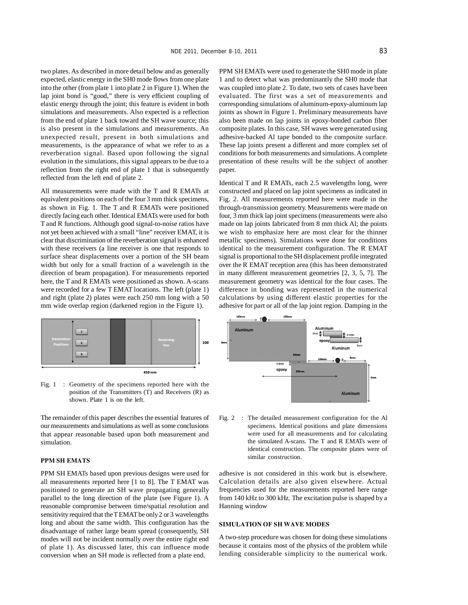two plates. As described in more detail below and as generally expected, elastic energy in the SH0 mode flows from one plate into the other (from plate 1 into plate 2 in Figure 1). When the lap joint bond is "good," there is very efficient coupling of elastic energy through the joint; this feature is evident in both simulations and measurements. Also expected is a reflection from the end of plate 1 back toward the SH wave source; this is also present in the simulations and measurements. An unexpected result, present in both simulations and measurements, is the appearance of what we refer to as a reverberation signal. Based upon following the signal evolution in the simulations, this signal appears to be due to a reflection from the right end of plate 1 that is subsequently reflected from the left end of plate 2.

All measurements were made with the T and R EMATs at equivalent positions on each of the four 3 mm thick specimens, as shown in Fig. 1. The T and R EMATs were positioned directly facing each other. Identical EMATs were used for both T and R functions. Although good signal-to-noise ratios have not yet been achieved with a small "line" receiver EMAT, it is clear that discrimination of the reverberation signal is enhanced with these receivers (a line receiver is one that responds to surface shear displacements over a portion of the SH beam width but only for a small fraction of a wavelength in the direction of beam propagation). For measurements reported here, the T and R EMATs were positioned as shown. A-scans were recorded for a few T EMAT locations. The left (plate 1) and right (plate 2) plates were each 250 mm long with a 50 mm wide overlap region (darkened region in the Figure 1).



Fig. 1 : Geometry of the specimens reported here with the position of the Transmitters (T) and Receivers (R) as shown. Plate 1 is on the left.

The remainder of this paper describes the essential features of our measurements and simulations as well as some conclusions that appear reasonable based upon both measurement and simulation.

## **PPM SH EMATS**

PPM SH EMATs based upon previous designs were used for all measurements reported here [1 to 8]. The T EMAT was positioned to generate an SH wave propagating generally parallel to the long direction of the plate (see Figure 1). A reasonable compromise between time/spatial resolution and sensitivity required that the T EMAT be only 2 or 3 wavelengths long and about the same width. This configuration has the disadvantage of rather large beam spread (consequently, SH modes will not be incident normally over the entire right end of plate 1). As discussed later, this can influence mode conversion when an SH mode is reflected from a plate end.

PPM SH EMATs were used to generate the SH0 mode in plate 1 and to detect what was predominantly the SH0 mode that was coupled into plate 2. To date, two sets of cases have been evaluated. The first was a set of measurements and corresponding simulations of aluminum-epoxy-aluminum lap joints as shown in Figure 1. Preliminary measurements have also been made on lap joints in epoxy-bonded carbon fiber composite plates. In this case, SH waves were generated using adhesive-backed Al tape bonded to the composite surface. These lap joints present a different and more complex set of conditions for both measurements and simulations. A complete presentation of these results will be the subject of another paper.

Identical T and R EMATs, each 2.5 wavelengths long, were constructed and placed on lap joint specimens as indicated in Fig. 2. All measurements reported here were made in the through-transmission geometry. Measurements were made on four, 3 mm thick lap joint specimens (measurements were also made on lap joints fabricated from 8 mm thick Al; the points we wish to emphasize here are most clear for the thinner metallic specimens). Simulations were done for conditions identical to the measurement configuration. The R EMAT signal is proportional to the SH displacement profile integrated over the R EMAT reception area (this has been demonstrated in many different measurement geometries [2, 3, 5, 7]. The measurement geometry was identical for the four cases. The difference in bonding was represented in the numerical calculations by using different elastic properties for the adhesive for part or all of the lap joint region. Damping in the



Fig. 2 : The detailed measurement configuration for the Al specimens. Identical positions and plate dimensions were used for all measurements and for calculating the simulated A-scans. The T and R EMATs were of identical construction. The composite plates were of similar construction.

adhesive is not considered in this work but is elsewhere. Calculation details are also given elsewhere. Actual frequencies used for the measurements reported here range from 140 kHz to 300 kHz. The excitation pulse is shaped by a Hanning window

#### **SIMULATION OF SH WAVE MODES**

A two-step procedure was chosen for doing these simulations because it contains most of the physics of the problem while lending considerable simplicity to the numerical work.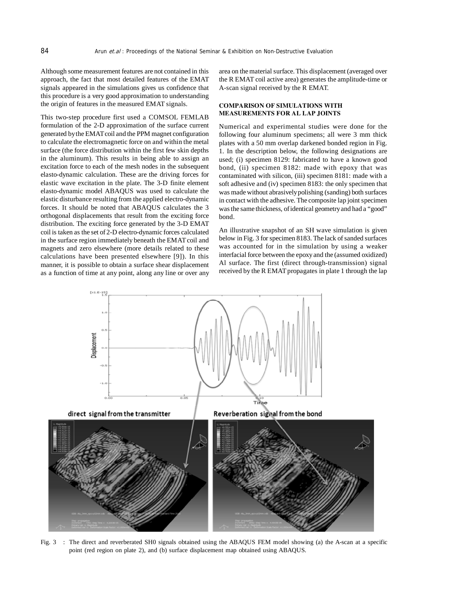Although some measurement features are not contained in this approach, the fact that most detailed features of the EMAT signals appeared in the simulations gives us confidence that this procedure is a very good approximation to understanding the origin of features in the measured EMAT signals.

This two-step procedure first used a COMSOL FEMLAB formulation of the 2-D approximation of the surface current generated by the EMAT coil and the PPM magnet configuration to calculate the electromagnetic force on and within the metal surface (the force distribution within the first few skin depths in the aluminum). This results in being able to assign an excitation force to each of the mesh nodes in the subsequent elasto-dynamic calculation. These are the driving forces for elastic wave excitation in the plate. The 3-D finite element elasto-dynamic model ABAQUS was used to calculate the elastic disturbance resulting from the applied electro-dynamic forces. It should be noted that ABAQUS calculates the 3 orthogonal displacements that result from the exciting force distribution. The exciting force generated by the 3-D EMAT coil is taken as the set of 2-D electro-dynamic forces calculated in the surface region immediately beneath the EMAT coil and magnets and zero elsewhere (more details related to these calculations have been presented elsewhere [9]). In this manner, it is possible to obtain a surface shear displacement as a function of time at any point, along any line or over any area on the material surface. This displacement (averaged over the R EMAT coil active area) generates the amplitude-time or A-scan signal received by the R EMAT.

## **COMPARISON OF SIMULATIONS WITH MEASUREMENTS FOR AL LAP JOINTS**

Numerical and experimental studies were done for the following four aluminum specimens; all were 3 mm thick plates with a 50 mm overlap darkened bonded region in Fig. 1. In the description below, the following designations are used; (i) specimen 8129: fabricated to have a known good bond, (ii) specimen 8182: made with epoxy that was contaminated with silicon, (iii) specimen 8181: made with a soft adhesive and (iv) specimen 8183: the only specimen that was made without abrasively polishing (sanding) both surfaces in contact with the adhesive. The composite lap joint specimen was the same thickness, of identical geometry and had a "good" bond.

An illustrative snapshot of an SH wave simulation is given below in Fig. 3 for specimen 8183. The lack of sanded surfaces was accounted for in the simulation by using a weaker interfacial force between the epoxy and the (assumed oxidized) Al surface. The first (direct through-transmission) signal received by the R EMAT propagates in plate 1 through the lap



Fig. 3 : The direct and reverberated SH0 signals obtained using the ABAQUS FEM model showing (a) the A-scan at a specific point (red region on plate 2), and (b) surface displacement map obtained using ABAQUS.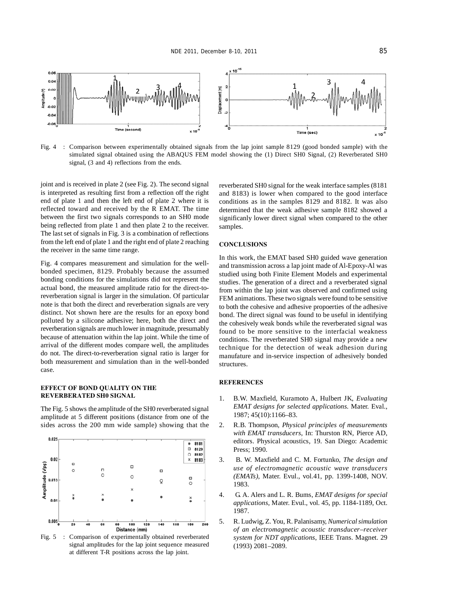

Fig. 4 : Comparison between experimentally obtained signals from the lap joint sample 8129 (good bonded sample) with the simulated signal obtained using the ABAQUS FEM model showing the (1) Direct SH0 Signal, (2) Reverberated SH0 signal, (3 and 4) reflections from the ends.

joint and is received in plate 2 (see Fig. 2). The second signal is interpreted as resulting first from a reflection off the right end of plate 1 and then the left end of plate 2 where it is reflected toward and received by the R EMAT. The time between the first two signals corresponds to an SH0 mode being reflected from plate 1 and then plate 2 to the receiver. The last set of signals in Fig. 3 is a combination of reflections from the left end of plate 1 and the right end of plate 2 reaching the receiver in the same time range.

Fig. 4 compares measurement and simulation for the wellbonded specimen, 8129. Probably because the assumed bonding conditions for the simulations did not represent the actual bond, the measured amplitude ratio for the direct-toreverberation signal is larger in the simulation. Of particular note is that both the direct and reverberation signals are very distinct. Not shown here are the results for an epoxy bond polluted by a silicone adhesive; here, both the direct and reverberation signals are much lower in magnitude, presumably because of attenuation within the lap joint. While the time of arrival of the different modes compare well, the amplitudes do not. The direct-to-reverberation signal ratio is larger for both measurement and simulation than in the well-bonded case.

#### **EFFECT OF BOND QUALITY ON THE REVERBERATED SH0 SIGNAL**

The Fig. 5 shows the amplitude of the SH0 reverberated signal amplitude at 5 different positions (distance from one of the sides across the 200 mm wide sample) showing that the



Fig. 5 : Comparison of experimentally obtained reverberated signal amplitudes for the lap joint sequence measured at different T-R positions across the lap joint.

reverberated SH0 signal for the weak interface samples (8181 and 8183) is lower when compared to the good interface conditions as in the samples 8129 and 8182. It was also determined that the weak adhesive sample 8182 showed a significanly lower direct signal when compared to the other samples.

## **CONCLUSIONS**

In this work, the EMAT based SH0 guided wave generation and transmission across a lap joint made of Al-Epoxy-Al was studied using both Finite Element Models and experimental studies. The generation of a direct and a reverberated signal from within the lap joint was observed and confirmed using FEM animations. These two signals were found to be sensitive to both the cohesive and adhesive propoerties of the adhesive bond. The direct signal was found to be useful in identifying the cohesively weak bonds while the reverberated signal was found to be more sensitive to the interfacial weakness conditions. The reverberated SH0 signal may provide a new technique for the detection of weak adhesion during manufature and in-service inspection of adhesively bonded structures.

#### **REFERENCES**

- 1. B.W. Maxfield, Kuramoto A, Hulbert JK, *Evaluating EMAT designs for selected applications.* Mater. Eval., 1987; 45(10):1166–83.
- 2. R.B. Thompson, *Physical principles of measurements with EMAT transducers*, In: Thurston RN, Pierce AD, editors. Physical acoustics, 19. San Diego: Academic Press; 1990.
- 3. B. W. Maxfield and C. M. Fortunko, *The design and use of electromagnetic acoustic wave transducers (EMATs)*, Mater. Evul., vol.41, pp. 1399-1408, NOV. 1983.
- 4. G. A. Alers and L. R. Bums, *EMAT designs for special applications*, Mater. Evul., vol. 45, pp. 1184-1189, Oct. 1987.
- 5. R. Ludwig, Z. You, R. Palanisamy, *Numerical simulation of an electromagnetic acoustic transducer–receiver system for NDT applications*, IEEE Trans. Magnet. 29 (1993) 2081–2089.